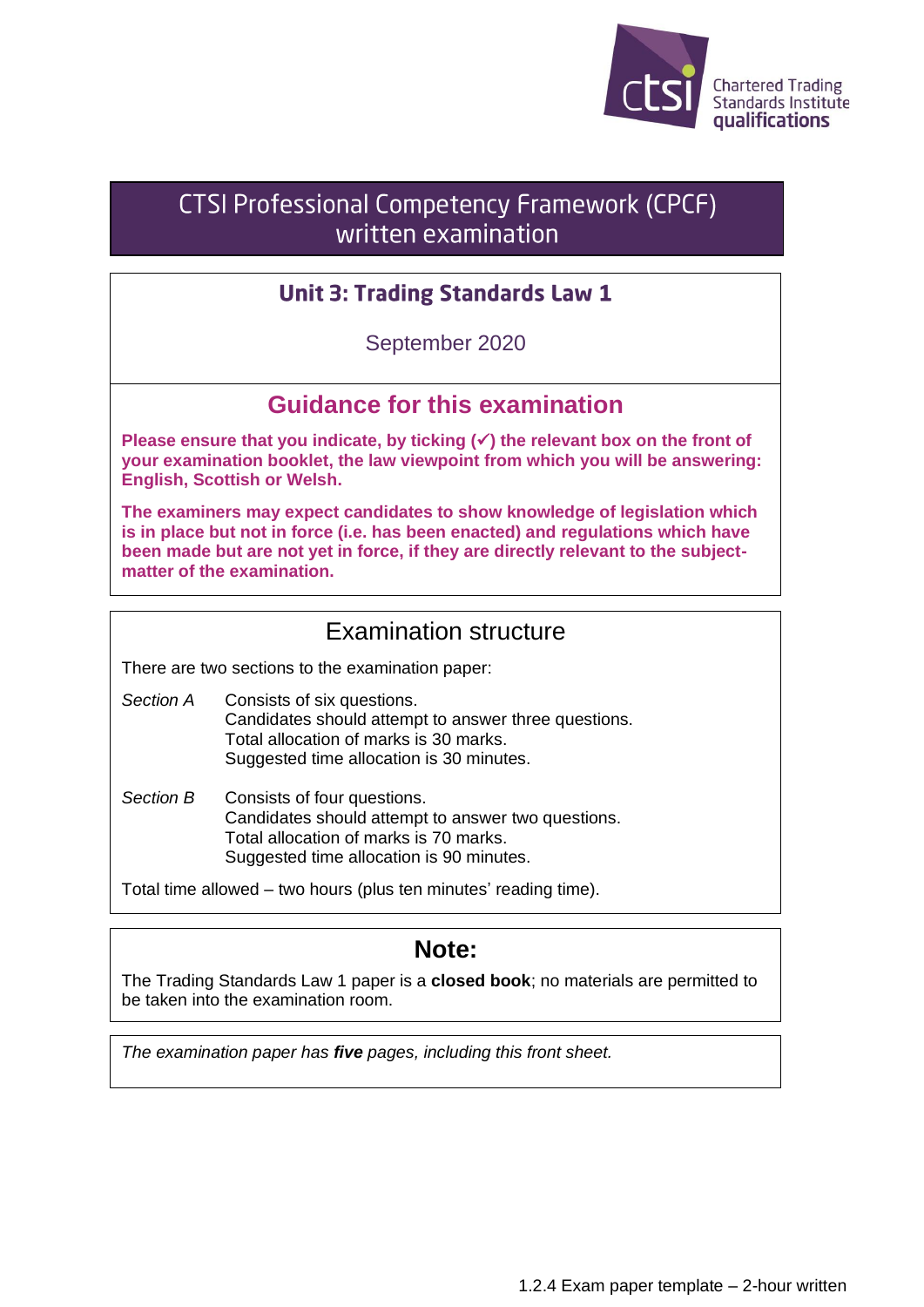

# CTSI Professional Competency Framework (CPCF) written examination

### **Unit 3: Trading Standards Law 1**

September 2020

# **Guidance for this examination**

**Please ensure that you indicate, by ticking (**✓**) the relevant box on the front of your examination booklet, the law viewpoint from which you will be answering: English, Scottish or Welsh.**

**The examiners may expect candidates to show knowledge of legislation which is in place but not in force (i.e. has been enacted) and regulations which have been made but are not yet in force, if they are directly relevant to the subjectmatter of the examination.**

# Examination structure

There are two sections to the examination paper:

*Section A* Consists of six questions. Candidates should attempt to answer three questions. Total allocation of marks is 30 marks. Suggested time allocation is 30 minutes.

*Section B* Consists of four questions. Candidates should attempt to answer two questions. Total allocation of marks is 70 marks. Suggested time allocation is 90 minutes.

Total time allowed – two hours (plus ten minutes' reading time).

### **Note:**

The Trading Standards Law 1 paper is a **closed book**; no materials are permitted to be taken into the examination room.

*The examination paper has five pages, including this front sheet.*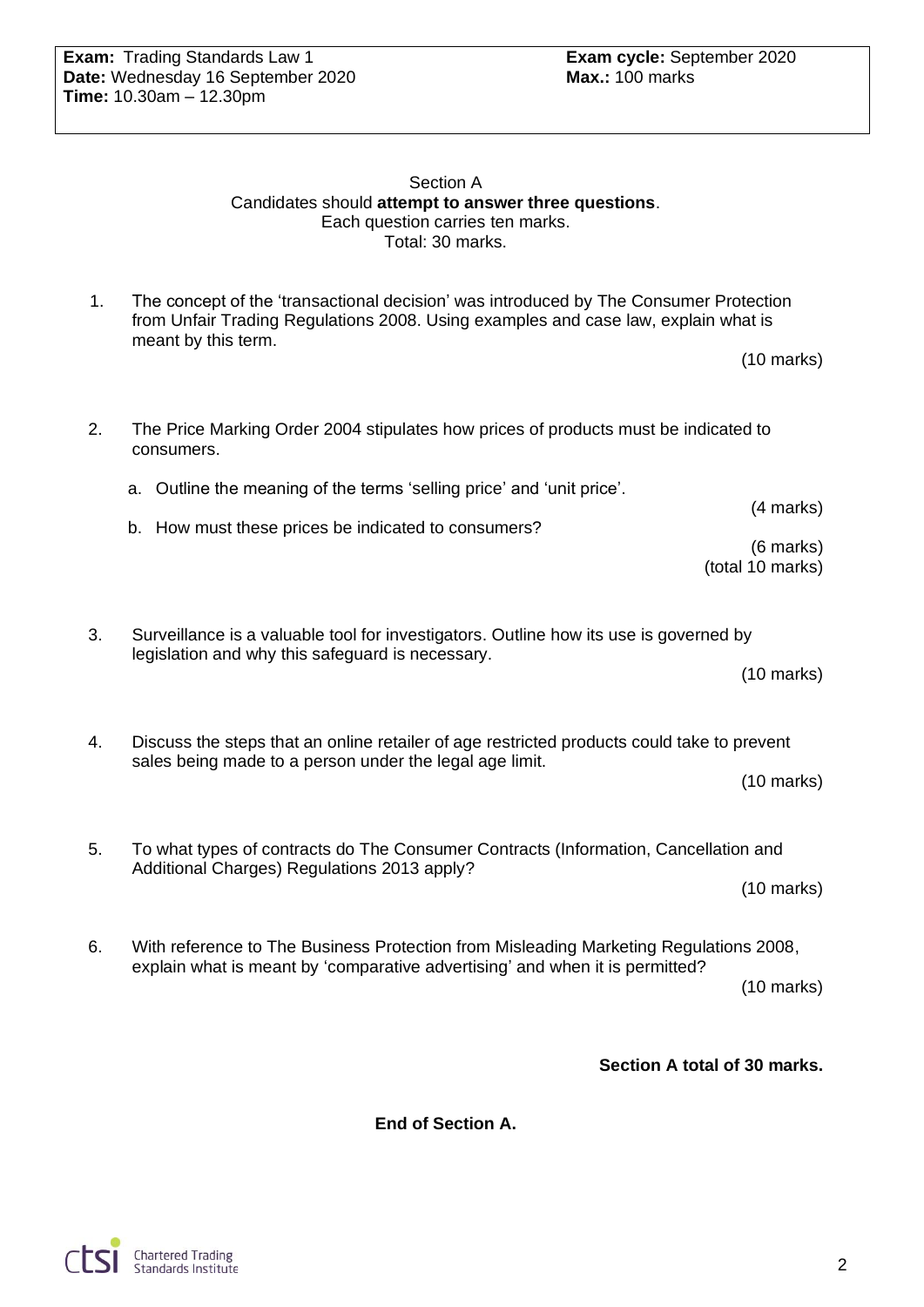#### Section A Candidates should **attempt to answer three questions**. Each question carries ten marks. Total: 30 marks.

1. The concept of the 'transactional decision' was introduced by The Consumer Protection from Unfair Trading Regulations 2008. Using examples and case law, explain what is meant by this term.

|  | $(10 \text{ marks})$ |
|--|----------------------|
|--|----------------------|

2. The Price Marking Order 2004 stipulates how prices of products must be indicated to consumers.

a. Outline the meaning of the terms 'selling price' and 'unit price'. (4 marks)

b. How must these prices be indicated to consumers?

(6 marks) (total 10 marks)

3. Surveillance is a valuable tool for investigators. Outline how its use is governed by legislation and why this safeguard is necessary.

(10 marks)

4. Discuss the steps that an online retailer of age restricted products could take to prevent sales being made to a person under the legal age limit.

(10 marks)

5. To what types of contracts do The Consumer Contracts (Information, Cancellation and Additional Charges) Regulations 2013 apply?

(10 marks)

6. With reference to The Business Protection from Misleading Marketing Regulations 2008, explain what is meant by 'comparative advertising' and when it is permitted? (10 marks)

**Section A total of 30 marks.**

**End of Section A.**

**Chartered Trading** Standards Institute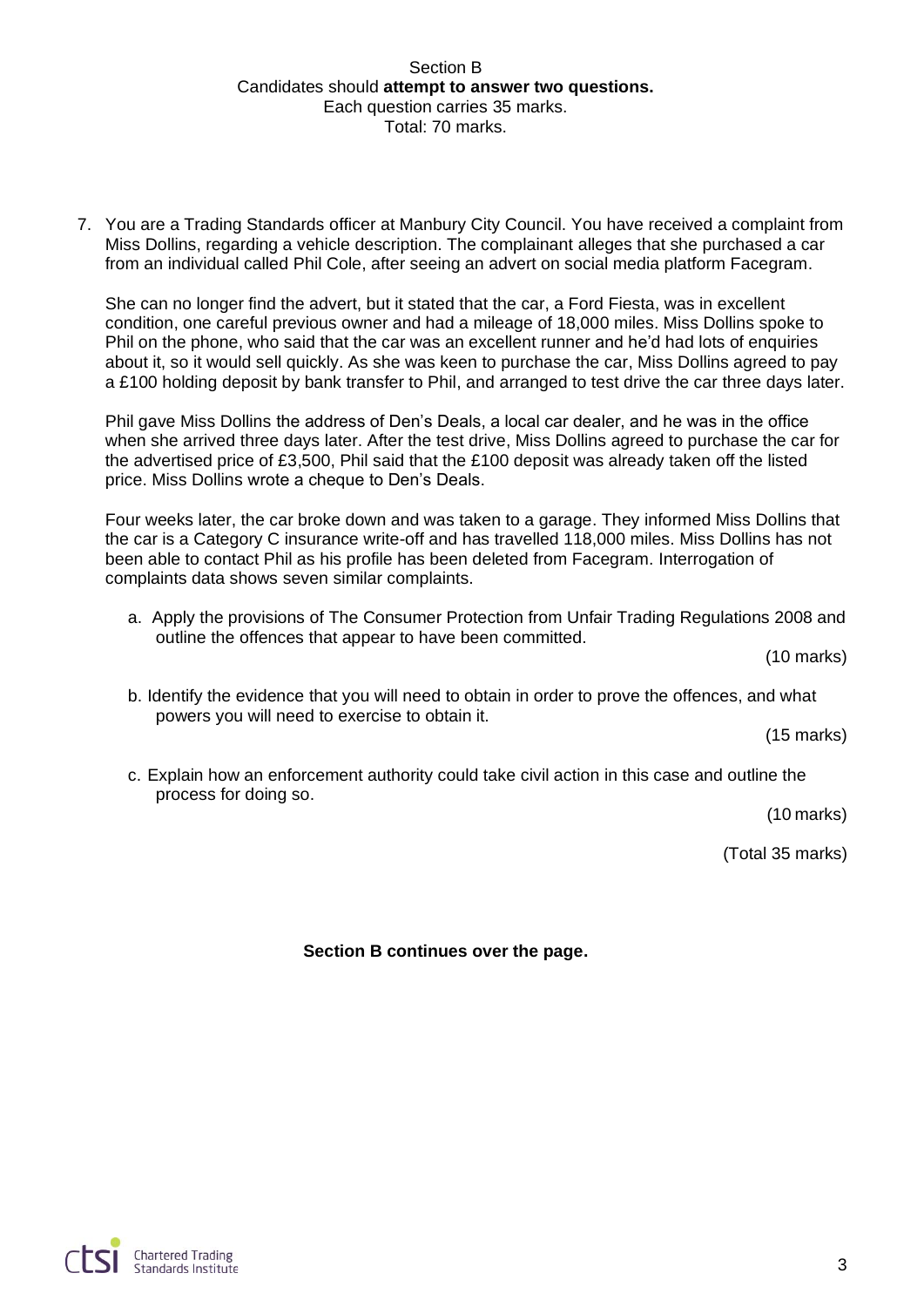#### Section B Candidates should **attempt to answer two questions.** Each question carries 35 marks. Total: 70 marks.

7. You are a Trading Standards officer at Manbury City Council. You have received a complaint from Miss Dollins, regarding a vehicle description. The complainant alleges that she purchased a car from an individual called Phil Cole, after seeing an advert on social media platform Facegram.

She can no longer find the advert, but it stated that the car, a Ford Fiesta, was in excellent condition, one careful previous owner and had a mileage of 18,000 miles. Miss Dollins spoke to Phil on the phone, who said that the car was an excellent runner and he'd had lots of enquiries about it, so it would sell quickly. As she was keen to purchase the car, Miss Dollins agreed to pay a £100 holding deposit by bank transfer to Phil, and arranged to test drive the car three days later.

Phil gave Miss Dollins the address of Den's Deals, a local car dealer, and he was in the office when she arrived three days later. After the test drive, Miss Dollins agreed to purchase the car for the advertised price of £3,500, Phil said that the £100 deposit was already taken off the listed price. Miss Dollins wrote a cheque to Den's Deals.

Four weeks later, the car broke down and was taken to a garage. They informed Miss Dollins that the car is a Category C insurance write-off and has travelled 118,000 miles. Miss Dollins has not been able to contact Phil as his profile has been deleted from Facegram. Interrogation of complaints data shows seven similar complaints.

a. Apply the provisions of The Consumer Protection from Unfair Trading Regulations 2008 and outline the offences that appear to have been committed.

(10 marks)

b. Identify the evidence that you will need to obtain in order to prove the offences, and what powers you will need to exercise to obtain it.

(15 marks)

c. Explain how an enforcement authority could take civil action in this case and outline the process for doing so.

(10 marks)

(Total 35 marks)

**Section B continues over the page.**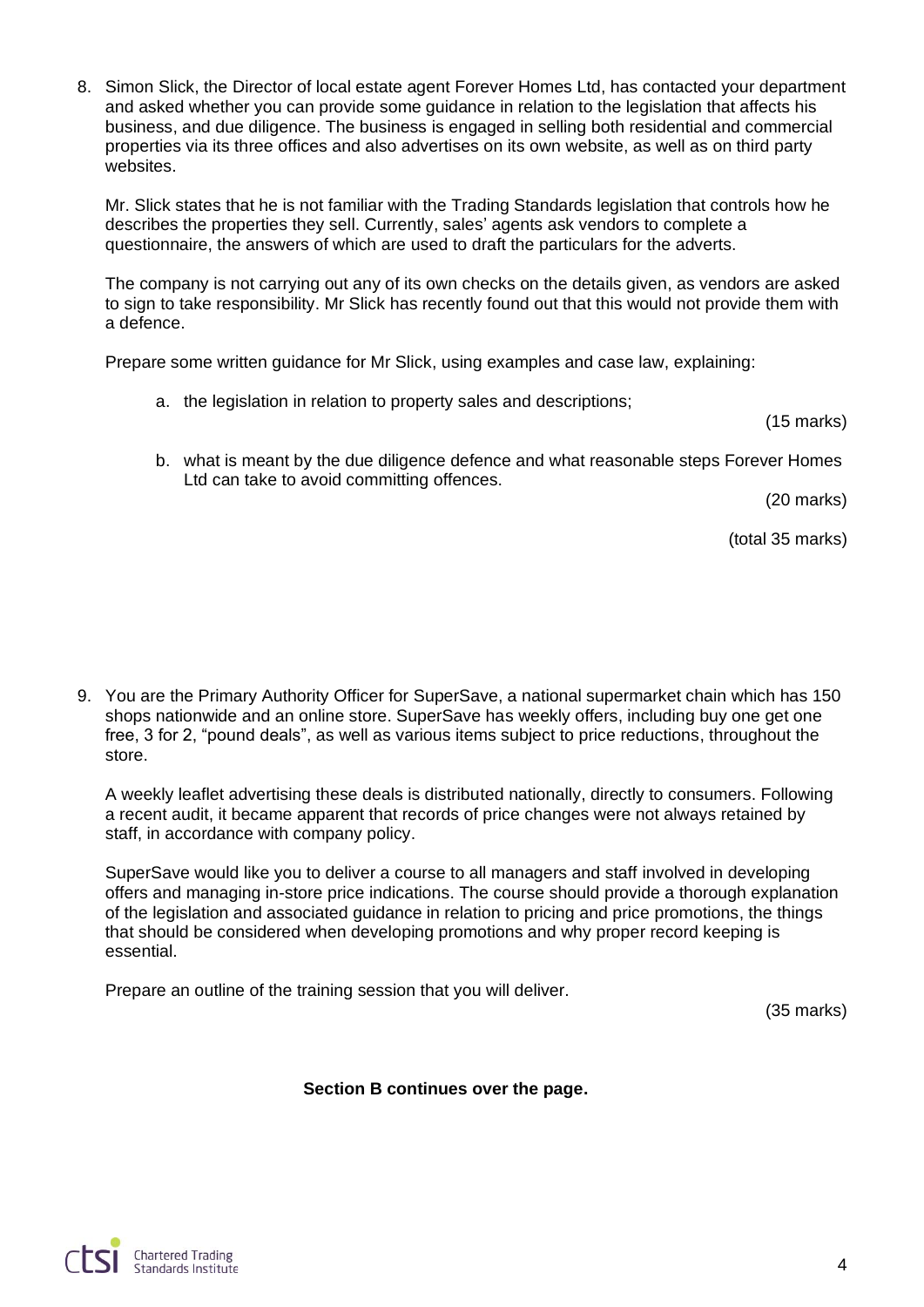8. Simon Slick, the Director of local estate agent Forever Homes Ltd, has contacted your department and asked whether you can provide some guidance in relation to the legislation that affects his business, and due diligence. The business is engaged in selling both residential and commercial properties via its three offices and also advertises on its own website, as well as on third party websites.

Mr. Slick states that he is not familiar with the Trading Standards legislation that controls how he describes the properties they sell. Currently, sales' agents ask vendors to complete a questionnaire, the answers of which are used to draft the particulars for the adverts.

The company is not carrying out any of its own checks on the details given, as vendors are asked to sign to take responsibility. Mr Slick has recently found out that this would not provide them with a defence.

Prepare some written guidance for Mr Slick, using examples and case law, explaining:

a. the legislation in relation to property sales and descriptions;

(15 marks)

b. what is meant by the due diligence defence and what reasonable steps Forever Homes Ltd can take to avoid committing offences.

(20 marks)

(total 35 marks)

9. You are the Primary Authority Officer for SuperSave, a national supermarket chain which has 150 shops nationwide and an online store. SuperSave has weekly offers, including buy one get one free, 3 for 2, "pound deals", as well as various items subject to price reductions, throughout the store.

A weekly leaflet advertising these deals is distributed nationally, directly to consumers. Following a recent audit, it became apparent that records of price changes were not always retained by staff, in accordance with company policy.

SuperSave would like you to deliver a course to all managers and staff involved in developing offers and managing in-store price indications. The course should provide a thorough explanation of the legislation and associated guidance in relation to pricing and price promotions, the things that should be considered when developing promotions and why proper record keeping is essential.

Prepare an outline of the training session that you will deliver.

(35 marks)

**Section B continues over the page.**